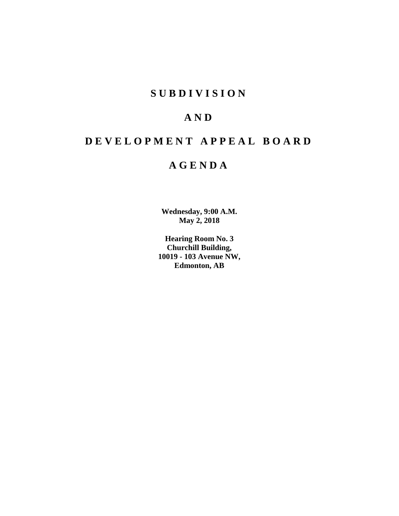# **S U B D I V I S I O N**

# **A N D**

# **D E V E L O P M E N T A P P E A L B O A R D**

# **A G E N D A**

**Wednesday, 9:00 A.M. May 2, 2018**

**Hearing Room No. 3 Churchill Building, 10019 - 103 Avenue NW, Edmonton, AB**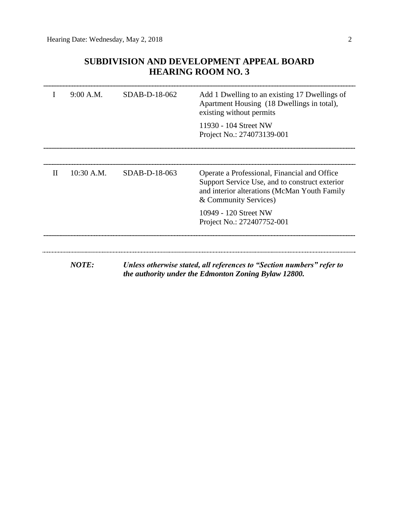# **SUBDIVISION AND DEVELOPMENT APPEAL BOARD HEARING ROOM NO. 3**

|              | 9:00 A.M.    | SDAB-D-18-062   | Add 1 Dwelling to an existing 17 Dwellings of<br>Apartment Housing (18 Dwellings in total),<br>existing without permits                                                 |
|--------------|--------------|-----------------|-------------------------------------------------------------------------------------------------------------------------------------------------------------------------|
|              |              |                 | 11930 - 104 Street NW<br>Project No.: 274073139-001                                                                                                                     |
|              |              |                 |                                                                                                                                                                         |
| $\mathbf{H}$ | $10:30$ A.M. | $SDAB-D-18-063$ | Operate a Professional, Financial and Office<br>Support Service Use, and to construct exterior<br>and interior alterations (McMan Youth Family<br>& Community Services) |
|              |              |                 | 10949 - 120 Street NW<br>Project No.: 272407752-001                                                                                                                     |
|              |              |                 |                                                                                                                                                                         |
|              | <b>NOTE:</b> |                 | Unless otherwise stated, all references to "Section numbers" refer to<br>the authority under the Edmonton Zoning Bylaw 12800.                                           |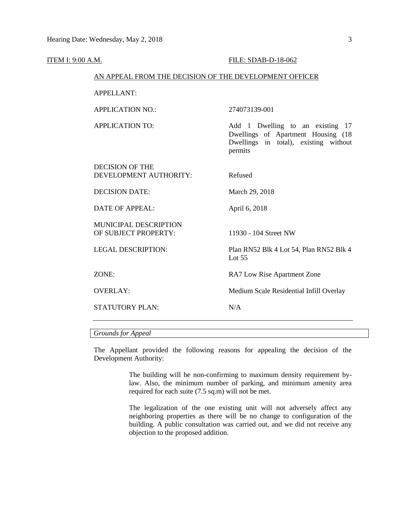| <b>ITEM I: 9:00 A.M.</b>                         |                                                        | FILE: SDAB-D-18-062                                                                                                        |  |  |  |
|--------------------------------------------------|--------------------------------------------------------|----------------------------------------------------------------------------------------------------------------------------|--|--|--|
|                                                  | AN APPEAL FROM THE DECISION OF THE DEVELOPMENT OFFICER |                                                                                                                            |  |  |  |
| <b>APPELLANT:</b>                                |                                                        |                                                                                                                            |  |  |  |
| <b>APPLICATION NO.:</b>                          |                                                        | 274073139-001                                                                                                              |  |  |  |
| <b>APPLICATION TO:</b>                           |                                                        | Add 1 Dwelling to an existing 17<br>Dwellings of Apartment Housing (18<br>Dwellings in total), existing without<br>permits |  |  |  |
| <b>DECISION OF THE</b><br>DEVELOPMENT AUTHORITY: |                                                        | Refused                                                                                                                    |  |  |  |
| <b>DECISION DATE:</b>                            |                                                        | March 29, 2018                                                                                                             |  |  |  |
| <b>DATE OF APPEAL:</b>                           |                                                        | April 6, 2018                                                                                                              |  |  |  |
| MUNICIPAL DESCRIPTION<br>OF SUBJECT PROPERTY:    |                                                        | 11930 - 104 Street NW                                                                                                      |  |  |  |
| <b>LEGAL DESCRIPTION:</b>                        |                                                        | Plan RN52 Blk 4 Lot 54, Plan RN52 Blk 4<br>Lot $55$                                                                        |  |  |  |
| ZONE:                                            |                                                        | RA7 Low Rise Apartment Zone                                                                                                |  |  |  |
| <b>OVERLAY:</b>                                  |                                                        | Medium Scale Residential Infill Overlay                                                                                    |  |  |  |
| <b>STATUTORY PLAN:</b>                           |                                                        | N/A                                                                                                                        |  |  |  |
|                                                  |                                                        |                                                                                                                            |  |  |  |

# *Grounds for Appeal*

The Appellant provided the following reasons for appealing the decision of the Development Authority:

> The building will be non-confirming to maximum density requirement bylaw. Also, the minimum number of parking, and minimum amenity area required for each suite (7.5 sq.m) will not be met.

> The legalization of the one existing unit will not adversely affect any neighboring properties as there will be no change to configuration of the building. A public consultation was carried out, and we did not receive any objection to the proposed addition.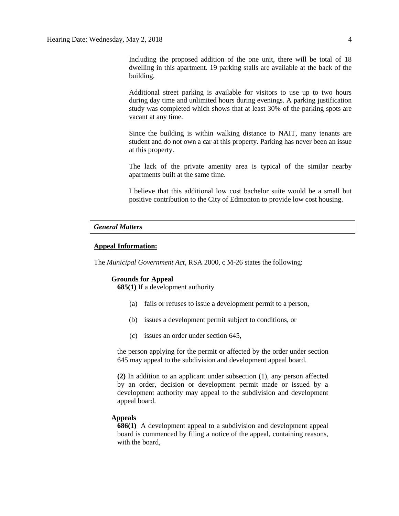Additional street parking is available for visitors to use up to two hours during day time and unlimited hours during evenings. A parking justification study was completed which shows that at least 30% of the parking spots are vacant at any time.

Since the building is within walking distance to NAIT, many tenants are student and do not own a car at this property. Parking has never been an issue at this property.

The lack of the private amenity area is typical of the similar nearby apartments built at the same time.

I believe that this additional low cost bachelor suite would be a small but positive contribution to the City of Edmonton to provide low cost housing.

# *General Matters*

# **Appeal Information:**

The *Municipal Government Act*, RSA 2000, c M-26 states the following:

# **Grounds for Appeal**

**685(1)** If a development authority

- (a) fails or refuses to issue a development permit to a person,
- (b) issues a development permit subject to conditions, or
- (c) issues an order under section 645,

the person applying for the permit or affected by the order under section 645 may appeal to the subdivision and development appeal board.

**(2)** In addition to an applicant under subsection (1), any person affected by an order, decision or development permit made or issued by a development authority may appeal to the subdivision and development appeal board.

### **Appeals**

**686(1)** A development appeal to a subdivision and development appeal board is commenced by filing a notice of the appeal, containing reasons, with the board,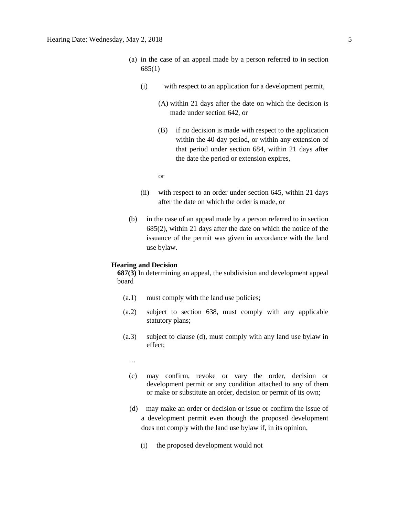- (a) in the case of an appeal made by a person referred to in section 685(1)
	- (i) with respect to an application for a development permit,
		- (A) within 21 days after the date on which the decision is made under section 642, or
		- (B) if no decision is made with respect to the application within the 40-day period, or within any extension of that period under section 684, within 21 days after the date the period or extension expires,

or

- (ii) with respect to an order under section 645, within 21 days after the date on which the order is made, or
- (b) in the case of an appeal made by a person referred to in section 685(2), within 21 days after the date on which the notice of the issuance of the permit was given in accordance with the land use bylaw.

# **Hearing and Decision**

**687(3)** In determining an appeal, the subdivision and development appeal board

- (a.1) must comply with the land use policies;
- (a.2) subject to section 638, must comply with any applicable statutory plans;
- (a.3) subject to clause (d), must comply with any land use bylaw in effect;
	- …
	- (c) may confirm, revoke or vary the order, decision or development permit or any condition attached to any of them or make or substitute an order, decision or permit of its own;
	- (d) may make an order or decision or issue or confirm the issue of a development permit even though the proposed development does not comply with the land use bylaw if, in its opinion,
		- (i) the proposed development would not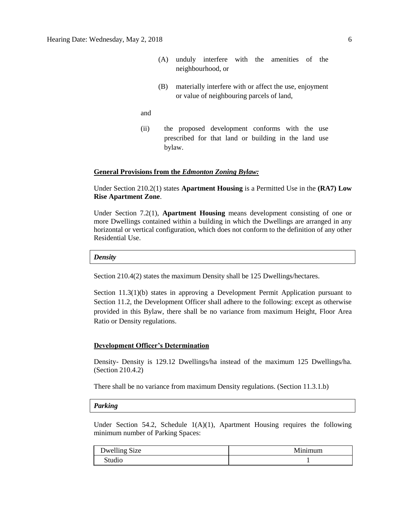- (A) unduly interfere with the amenities of the neighbourhood, or
- (B) materially interfere with or affect the use, enjoyment or value of neighbouring parcels of land,
- and
- (ii) the proposed development conforms with the use prescribed for that land or building in the land use bylaw.

# **General Provisions from the** *Edmonton Zoning Bylaw:*

Under Section 210.2(1) states **Apartment Housing** is a Permitted Use in the **(RA7) Low Rise Apartment Zone**.

Under Section 7.2(1), **Apartment Housing** means development consisting of one or more Dwellings contained within a building in which the Dwellings are arranged in any horizontal or vertical configuration, which does not conform to the definition of any other Residential Use.

### *Density*

Section 210.4(2) states the maximum Density shall be 125 Dwellings/hectares.

Section 11.3(1)(b) states in approving a Development Permit Application pursuant to Section 11.2, the Development Officer shall adhere to the following: except as otherwise provided in this Bylaw, there shall be no variance from maximum Height, Floor Area Ratio or Density regulations.

# **Development Officer's Determination**

Density- Density is 129.12 Dwellings/ha instead of the maximum 125 Dwellings/ha. (Section 210.4.2)

There shall be no variance from maximum Density regulations. (Section 11.3.1.b)

## *Parking*

Under Section 54.2, Schedule 1(A)(1), Apartment Housing requires the following minimum number of Parking Spaces:

| Dwelling Size | ınımum<br>ľМ |
|---------------|--------------|
| Studio        |              |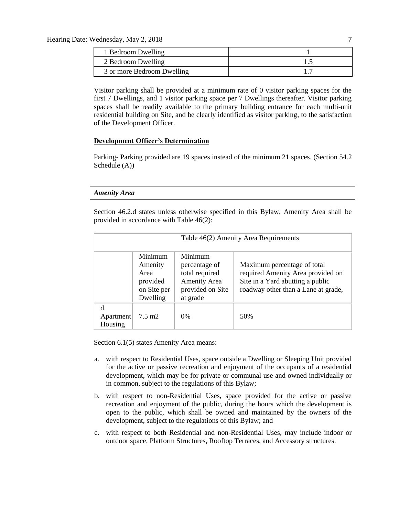| 1 Bedroom Dwelling         |  |
|----------------------------|--|
| 2 Bedroom Dwelling         |  |
| 3 or more Bedroom Dwelling |  |

Visitor parking shall be provided at a minimum rate of 0 visitor parking spaces for the first 7 Dwellings, and 1 visitor parking space per 7 Dwellings thereafter. Visitor parking spaces shall be readily available to the primary building entrance for each multi-unit residential building on Site, and be clearly identified as visitor parking, to the satisfaction of the Development Officer.

# **Development Officer's Determination**

Parking- Parking provided are 19 spaces instead of the minimum 21 spaces. (Section 54.2 Schedule (A))

# *Amenity Area*

Section 46.2.d states unless otherwise specified in this Bylaw, Amenity Area shall be provided in accordance with Table 46(2):

|                            | Table 46(2) Amenity Area Requirements                             |                                                                                            |                                                                                                                                             |  |  |
|----------------------------|-------------------------------------------------------------------|--------------------------------------------------------------------------------------------|---------------------------------------------------------------------------------------------------------------------------------------------|--|--|
|                            | Minimum<br>Amenity<br>Area<br>provided<br>on Site per<br>Dwelling | Minimum<br>percentage of<br>total required<br>Amenity Area<br>provided on Site<br>at grade | Maximum percentage of total<br>required Amenity Area provided on<br>Site in a Yard abutting a public<br>roadway other than a Lane at grade, |  |  |
| d.<br>Apartment<br>Housing | $7.5 \text{ m2}$                                                  | 0%                                                                                         | 50%                                                                                                                                         |  |  |

Section 6.1(5) states Amenity Area means:

- a. with respect to Residential Uses, space outside a Dwelling or Sleeping Unit provided for the active or passive recreation and enjoyment of the occupants of a residential development, which may be for private or communal use and owned individually or in common, subject to the regulations of this Bylaw;
- b. with respect to non-Residential Uses, space provided for the active or passive recreation and enjoyment of the public, during the hours which the development is open to the public, which shall be owned and maintained by the owners of the development, subject to the regulations of this Bylaw; and
- c. with respect to both Residential and non-Residential Uses, may include indoor or outdoor space, Platform Structures, Rooftop Terraces, and Accessory structures.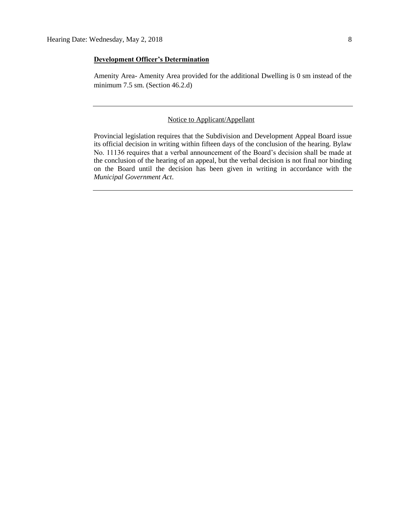# **Development Officer's Determination**

Amenity Area- Amenity Area provided for the additional Dwelling is 0 sm instead of the minimum 7.5 sm. (Section 46.2.d)

# Notice to Applicant/Appellant

Provincial legislation requires that the Subdivision and Development Appeal Board issue its official decision in writing within fifteen days of the conclusion of the hearing. Bylaw No. 11136 requires that a verbal announcement of the Board's decision shall be made at the conclusion of the hearing of an appeal, but the verbal decision is not final nor binding on the Board until the decision has been given in writing in accordance with the *Municipal Government Act*.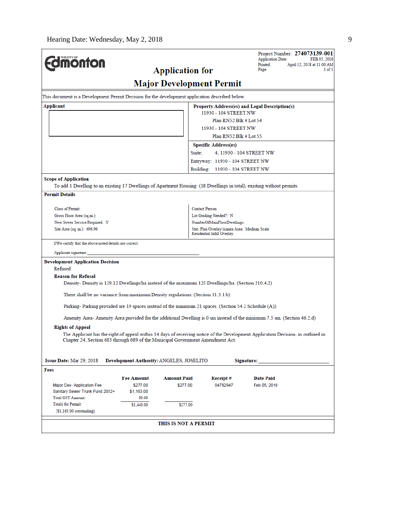| <b>monton</b>                                                                                                         |                                                                                 | <b>Application for</b>                   |                                             | Project Number: 274073139-001<br><b>Application Date:</b><br>Printed:                                                            | FEB 05, 2018<br>April 12, 2018 at 11:00 AM |  |  |
|-----------------------------------------------------------------------------------------------------------------------|---------------------------------------------------------------------------------|------------------------------------------|---------------------------------------------|----------------------------------------------------------------------------------------------------------------------------------|--------------------------------------------|--|--|
|                                                                                                                       | Page:                                                                           | 1 of 1                                   |                                             |                                                                                                                                  |                                            |  |  |
| <b>Major Development Permit</b>                                                                                       |                                                                                 |                                          |                                             |                                                                                                                                  |                                            |  |  |
| This document is a Development Permit Decision for the development application described below.                       |                                                                                 |                                          |                                             |                                                                                                                                  |                                            |  |  |
| Applicant<br>Property Address(es) and Legal Description(s)                                                            |                                                                                 |                                          |                                             |                                                                                                                                  |                                            |  |  |
| 11930 - 104 STREET NW                                                                                                 |                                                                                 |                                          |                                             |                                                                                                                                  |                                            |  |  |
|                                                                                                                       | Plan RN52 Blk 4 Lot 54                                                          |                                          |                                             |                                                                                                                                  |                                            |  |  |
| 11930 - 104 STREET NW                                                                                                 |                                                                                 |                                          |                                             |                                                                                                                                  |                                            |  |  |
| Plan RN52 Blk 4 Lot 55                                                                                                |                                                                                 |                                          |                                             |                                                                                                                                  |                                            |  |  |
|                                                                                                                       |                                                                                 |                                          | <b>Specific Address(es)</b>                 |                                                                                                                                  |                                            |  |  |
|                                                                                                                       |                                                                                 | Suite:                                   |                                             | 4, 11930 - 104 STREET NW                                                                                                         |                                            |  |  |
|                                                                                                                       |                                                                                 |                                          | Entryway: 11930 - 104 STREET NW             |                                                                                                                                  |                                            |  |  |
|                                                                                                                       |                                                                                 |                                          | Building: 11930 - 104 STREET NW             |                                                                                                                                  |                                            |  |  |
| <b>Scope of Application</b>                                                                                           |                                                                                 |                                          |                                             |                                                                                                                                  |                                            |  |  |
| To add 1 Dwelling to an existing 17 Dwellings of Apartment Housing (18 Dwellings in total), existing without permits. |                                                                                 |                                          |                                             |                                                                                                                                  |                                            |  |  |
| <b>Permit Details</b>                                                                                                 |                                                                                 |                                          |                                             |                                                                                                                                  |                                            |  |  |
| Class of Permit:                                                                                                      |                                                                                 |                                          | Contact Person:                             |                                                                                                                                  |                                            |  |  |
| Gross Floor Area (sq.m.):                                                                                             |                                                                                 |                                          | Lot Grading Needed?: N                      |                                                                                                                                  |                                            |  |  |
| New Sewer Service Required: Y                                                                                         |                                                                                 |                                          | NumberOfMainFloorDwellings:                 |                                                                                                                                  |                                            |  |  |
| Site Area (sq. m.): 696.96                                                                                            |                                                                                 |                                          | Stat. Plan Overlay/Annex Area: Medium Scale |                                                                                                                                  |                                            |  |  |
|                                                                                                                       |                                                                                 |                                          | Residential Infill Overlay                  |                                                                                                                                  |                                            |  |  |
| I/We certify that the above noted details are correct.                                                                |                                                                                 |                                          |                                             |                                                                                                                                  |                                            |  |  |
| Applicant signature:                                                                                                  |                                                                                 |                                          |                                             |                                                                                                                                  |                                            |  |  |
| <b>Development Application Decision</b>                                                                               |                                                                                 |                                          |                                             |                                                                                                                                  |                                            |  |  |
| Refused                                                                                                               |                                                                                 |                                          |                                             |                                                                                                                                  |                                            |  |  |
| <b>Reason for Refusal</b>                                                                                             |                                                                                 |                                          |                                             |                                                                                                                                  |                                            |  |  |
| Density-Density is 129.12 Dwellings/ha instead of the maximum 125 Dwellings/ha. (Section 210.4.2)                     |                                                                                 |                                          |                                             |                                                                                                                                  |                                            |  |  |
|                                                                                                                       | There shall be no variance from maximum Density regulations. (Section 11.3.1.b) |                                          |                                             |                                                                                                                                  |                                            |  |  |
|                                                                                                                       |                                                                                 |                                          |                                             |                                                                                                                                  |                                            |  |  |
| Parking-Parking provided are 19 spaces instead of the minimum 21 spaces. (Section 54.2 Schedule (A))                  |                                                                                 |                                          |                                             |                                                                                                                                  |                                            |  |  |
|                                                                                                                       |                                                                                 |                                          |                                             | Amenity Area-Amenity Area provided for the additional Dwelling is 0 sm instead of the minimum 7.5 sm. (Section 46.2.d)           |                                            |  |  |
| <b>Rights of Appeal</b>                                                                                               |                                                                                 |                                          |                                             |                                                                                                                                  |                                            |  |  |
|                                                                                                                       |                                                                                 |                                          |                                             | The Applicant has the right of appeal within 14 days of receiving notice of the Development Application Decision, as outlined in |                                            |  |  |
| Chapter 24, Section 683 through 689 of the Municipal Government Amendment Act.                                        |                                                                                 |                                          |                                             |                                                                                                                                  |                                            |  |  |
|                                                                                                                       |                                                                                 |                                          |                                             |                                                                                                                                  |                                            |  |  |
|                                                                                                                       |                                                                                 |                                          |                                             |                                                                                                                                  |                                            |  |  |
| Issue Date: Mar 29, 2018                                                                                              |                                                                                 | Development Authority: ANGELES, JOSELITO |                                             | Signature:                                                                                                                       |                                            |  |  |
| Fees                                                                                                                  |                                                                                 |                                          |                                             |                                                                                                                                  |                                            |  |  |
|                                                                                                                       | <b>Fee Amount</b>                                                               | <b>Amount Paid</b>                       | Receipt#                                    | <b>Date Paid</b>                                                                                                                 |                                            |  |  |
| Major Dev. Application Fee                                                                                            | \$277.00                                                                        | \$277.00                                 | 04782947                                    | Feb 05, 2018                                                                                                                     |                                            |  |  |
| Sanitary Sewer Trunk Fund 2012+                                                                                       | \$1,163.00                                                                      |                                          |                                             |                                                                                                                                  |                                            |  |  |
| <b>Total GST Amount:</b>                                                                                              | \$0.00                                                                          |                                          |                                             |                                                                                                                                  |                                            |  |  |
| <b>Totals for Permit:</b>                                                                                             | \$1,440.00                                                                      | \$277.00                                 |                                             |                                                                                                                                  |                                            |  |  |
| $(§1,163.00$ outstanding)                                                                                             |                                                                                 |                                          |                                             |                                                                                                                                  |                                            |  |  |
|                                                                                                                       |                                                                                 | THIS IS NOT A PERMIT                     |                                             |                                                                                                                                  |                                            |  |  |
|                                                                                                                       |                                                                                 |                                          |                                             |                                                                                                                                  |                                            |  |  |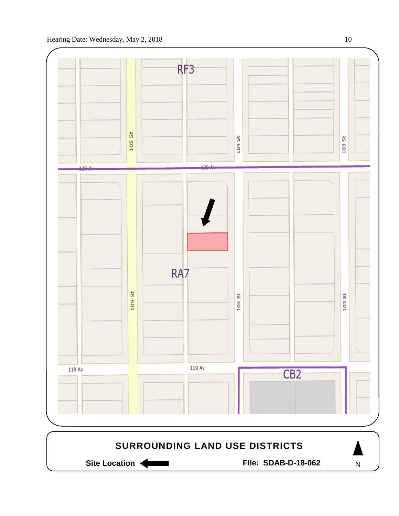

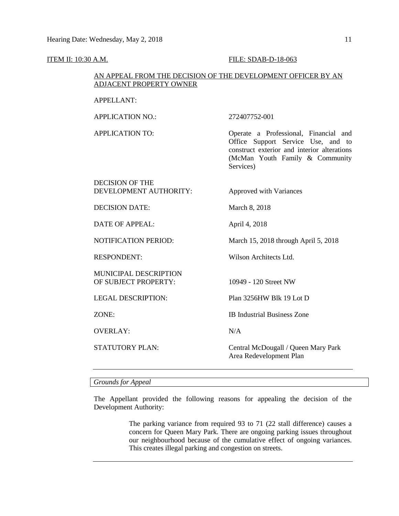### ITEM II: 10:30 A.M. FILE: SDAB-D-18-063

# AN APPEAL FROM THE DECISION OF THE DEVELOPMENT OFFICER BY AN ADJACENT PROPERTY OWNER

# APPELLANT:

APPLICATION NO.: 272407752-001

APPLICATION TO: Operate a Professional, Financial and Office Support Service Use, and to construct exterior and interior alterations (McMan Youth Family & Community Services)

# DECISION OF THE DEVELOPMENT AUTHORITY: Approved with Variances DECISION DATE: March 8, 2018

DATE OF APPEAL: April 4, 2018

NOTIFICATION PERIOD: March 15, 2018 through April 5, 2018

MUNICIPAL DESCRIPTION OF SUBJECT PROPERTY: 10949 - 120 Street NW

OVERLAY: N/A

RESPONDENT: Wilson Architects Ltd.

LEGAL DESCRIPTION: Plan 3256HW Blk 19 Lot D

ZONE: IB Industrial Business Zone

STATUTORY PLAN: Central McDougall / Queen Mary Park Area Redevelopment Plan

# *Grounds for Appeal*

The Appellant provided the following reasons for appealing the decision of the Development Authority:

> The parking variance from required 93 to 71 (22 stall difference) causes a concern for Queen Mary Park. There are ongoing parking issues throughout our neighbourhood because of the cumulative effect of ongoing variances. This creates illegal parking and congestion on streets.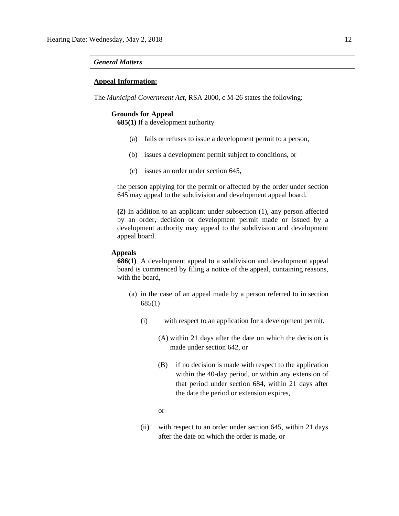### *General Matters*

# **Appeal Information:**

The *Municipal Government Act*, RSA 2000, c M-26 states the following:

# **Grounds for Appeal**

**685(1)** If a development authority

- (a) fails or refuses to issue a development permit to a person,
- (b) issues a development permit subject to conditions, or
- (c) issues an order under section 645,

the person applying for the permit or affected by the order under section 645 may appeal to the subdivision and development appeal board.

**(2)** In addition to an applicant under subsection (1), any person affected by an order, decision or development permit made or issued by a development authority may appeal to the subdivision and development appeal board.

### **Appeals**

**686(1)** A development appeal to a subdivision and development appeal board is commenced by filing a notice of the appeal, containing reasons, with the board,

- (a) in the case of an appeal made by a person referred to in section 685(1)
	- (i) with respect to an application for a development permit,
		- (A) within 21 days after the date on which the decision is made under section 642, or
		- (B) if no decision is made with respect to the application within the 40-day period, or within any extension of that period under section 684, within 21 days after the date the period or extension expires,
		- or
	- (ii) with respect to an order under section 645, within 21 days after the date on which the order is made, or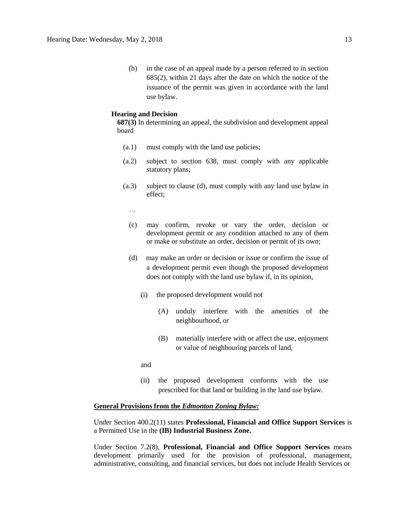(b) in the case of an appeal made by a person referred to in section 685(2), within 21 days after the date on which the notice of the issuance of the permit was given in accordance with the land use bylaw.

# **Hearing and Decision**

**687(3)** In determining an appeal, the subdivision and development appeal board

- (a.1) must comply with the land use policies;
- (a.2) subject to section 638, must comply with any applicable statutory plans;
- (a.3) subject to clause (d), must comply with any land use bylaw in effect;

…

- (c) may confirm, revoke or vary the order, decision or development permit or any condition attached to any of them or make or substitute an order, decision or permit of its own;
- (d) may make an order or decision or issue or confirm the issue of a development permit even though the proposed development does not comply with the land use bylaw if, in its opinion,
	- (i) the proposed development would not
		- (A) unduly interfere with the amenities of the neighbourhood, or
		- (B) materially interfere with or affect the use, enjoyment or value of neighbouring parcels of land,

and

(ii) the proposed development conforms with the use prescribed for that land or building in the land use bylaw.

## **General Provisions from the** *Edmonton Zoning Bylaw:*

Under Section 400.2(11) states **Professional, Financial and Office Support Services** is a Permitted Use in the **(IB) Industrial Business Zone.**

Under Section 7.2(8), **Professional, Financial and Office Support Services** means development primarily used for the provision of professional, management, administrative, consulting, and financial services, but does not include Health Services or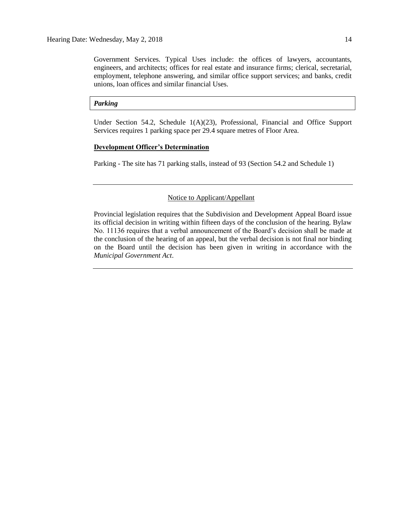Government Services. Typical Uses include: the offices of lawyers, accountants, engineers, and architects; offices for real estate and insurance firms; clerical, secretarial, employment, telephone answering, and similar office support services; and banks, credit unions, loan offices and similar financial Uses.

## *Parking*

Under Section 54.2, Schedule 1(A)(23), Professional, Financial and Office Support Services requires 1 parking space per 29.4 square metres of Floor Area.

# **Development Officer's Determination**

Parking - The site has 71 parking stalls, instead of 93 (Section 54.2 and Schedule 1)

# Notice to Applicant/Appellant

Provincial legislation requires that the Subdivision and Development Appeal Board issue its official decision in writing within fifteen days of the conclusion of the hearing. Bylaw No. 11136 requires that a verbal announcement of the Board's decision shall be made at the conclusion of the hearing of an appeal, but the verbal decision is not final nor binding on the Board until the decision has been given in writing in accordance with the *Municipal Government Act*.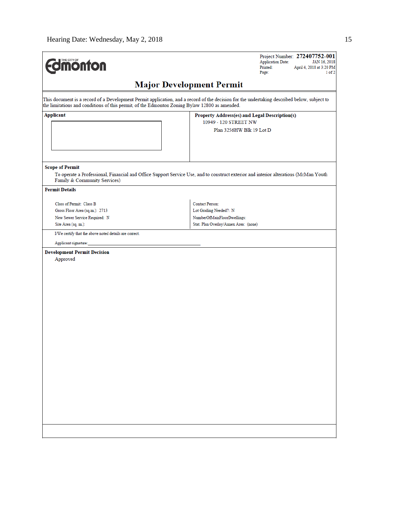| <b>Imonton</b>                                                                                                                                                                                                                               | Project Number: 272407752-001<br><b>Application Date:</b><br>JAN 16, 2018<br>Printed:<br>April 4, 2018 at 3:20 PM<br>Page:<br>1 of 2 |  |  |  |  |
|----------------------------------------------------------------------------------------------------------------------------------------------------------------------------------------------------------------------------------------------|--------------------------------------------------------------------------------------------------------------------------------------|--|--|--|--|
| <b>Major Development Permit</b>                                                                                                                                                                                                              |                                                                                                                                      |  |  |  |  |
| This document is a record of a Development Permit application, and a record of the decision for the undertaking described below, subject to<br>the limitations and conditions of this permit, of the Edmonton Zoning Bylaw 12800 as amended. |                                                                                                                                      |  |  |  |  |
| Applicant                                                                                                                                                                                                                                    | Property Address(es) and Legal Description(s)<br>10949 - 120 STREET NW<br>Plan 3256HW Blk 19 Lot D                                   |  |  |  |  |
| <b>Scope of Permit</b><br>Family & Community Services)                                                                                                                                                                                       | To operate a Professional, Financial and Office Support Service Use, and to construct exterior and interior alterations (McMan Youth |  |  |  |  |
| <b>Permit Details</b>                                                                                                                                                                                                                        |                                                                                                                                      |  |  |  |  |
| Class of Permit: Class B                                                                                                                                                                                                                     | <b>Contact Person:</b>                                                                                                               |  |  |  |  |
| Gross Floor Area (sq.m.): 2713                                                                                                                                                                                                               | Lot Grading Needed?: N                                                                                                               |  |  |  |  |
| New Sewer Service Required: N                                                                                                                                                                                                                | NumberOfMainFloorDwellings:                                                                                                          |  |  |  |  |
| Site Area (sq. m.):                                                                                                                                                                                                                          | Stat. Plan Overlay/Annex Area: (none)                                                                                                |  |  |  |  |
| I/We certify that the above noted details are correct.                                                                                                                                                                                       |                                                                                                                                      |  |  |  |  |
| Applicant signature:                                                                                                                                                                                                                         |                                                                                                                                      |  |  |  |  |
| <b>Development Permit Decision</b><br>Approved                                                                                                                                                                                               |                                                                                                                                      |  |  |  |  |
|                                                                                                                                                                                                                                              |                                                                                                                                      |  |  |  |  |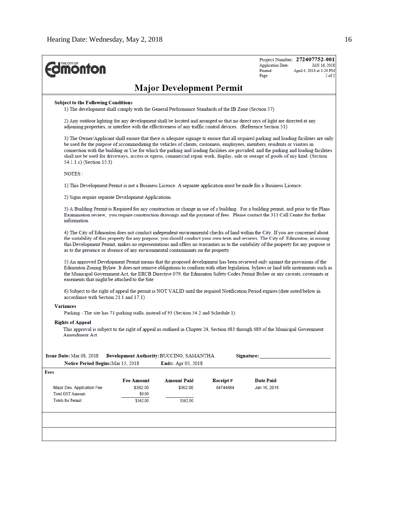| THE CITY OF<br><b>ionton</b>                                                                                                                                                                                                                                                                                                                                                                                                                 |                                                                                                                                                                                                                                                                                                                                                                                                                                                                                                                                                                                |                                |                      | <b>Application Date:</b><br>Printed:<br>Page: | Project Number: 272407752-001<br>JAN 16, 2018<br>April 4, 2018 at 3:20 PM<br>$2$ of $2$ |  |  |
|----------------------------------------------------------------------------------------------------------------------------------------------------------------------------------------------------------------------------------------------------------------------------------------------------------------------------------------------------------------------------------------------------------------------------------------------|--------------------------------------------------------------------------------------------------------------------------------------------------------------------------------------------------------------------------------------------------------------------------------------------------------------------------------------------------------------------------------------------------------------------------------------------------------------------------------------------------------------------------------------------------------------------------------|--------------------------------|----------------------|-----------------------------------------------|-----------------------------------------------------------------------------------------|--|--|
| <b>Major Development Permit</b>                                                                                                                                                                                                                                                                                                                                                                                                              |                                                                                                                                                                                                                                                                                                                                                                                                                                                                                                                                                                                |                                |                      |                                               |                                                                                         |  |  |
| <b>Subject to the Following Conditions</b><br>1) The development shall comply with the General Performance Standards of the IB Zone (Section 57)                                                                                                                                                                                                                                                                                             |                                                                                                                                                                                                                                                                                                                                                                                                                                                                                                                                                                                |                                |                      |                                               |                                                                                         |  |  |
|                                                                                                                                                                                                                                                                                                                                                                                                                                              | 2) Any outdoor lighting for any development shall be located and arranged so that no direct rays of light are directed at any<br>adjoining properties, or interfere with the effectiveness of any traffic control devices. (Reference Section 51)                                                                                                                                                                                                                                                                                                                              |                                |                      |                                               |                                                                                         |  |  |
|                                                                                                                                                                                                                                                                                                                                                                                                                                              | 3) The Owner/Applicant shall ensure that there is adequate signage to ensure that all required parking and loading facilities are only<br>be used for the purpose of accommodating the vehicles of clients, customers, employees, members, residents or visitors in<br>connection with the building or Use for which the parking and loading facilities are provided, and the parking and loading facilities<br>shall not be used for driveways, access or egress, commercial repair work, display, sale or storage of goods of any kind. (Section<br>54.1.1.c) (Section 15.3) |                                |                      |                                               |                                                                                         |  |  |
| <b>NOTES:</b>                                                                                                                                                                                                                                                                                                                                                                                                                                |                                                                                                                                                                                                                                                                                                                                                                                                                                                                                                                                                                                |                                |                      |                                               |                                                                                         |  |  |
| 1) This Development Permit is not a Business Licence. A separate application must be made for a Business Licence.                                                                                                                                                                                                                                                                                                                            |                                                                                                                                                                                                                                                                                                                                                                                                                                                                                                                                                                                |                                |                      |                                               |                                                                                         |  |  |
| 2) Signs require separate Development Applications.                                                                                                                                                                                                                                                                                                                                                                                          |                                                                                                                                                                                                                                                                                                                                                                                                                                                                                                                                                                                |                                |                      |                                               |                                                                                         |  |  |
| information                                                                                                                                                                                                                                                                                                                                                                                                                                  | 3) A Building Permit is Required for any construction or change in use of a building. For a building permit, and prior to the Plans<br>Examination review, you require construction drawings and the payment of fees. Please contact the 311 Call Centre for further                                                                                                                                                                                                                                                                                                           |                                |                      |                                               |                                                                                         |  |  |
|                                                                                                                                                                                                                                                                                                                                                                                                                                              | 4) The City of Edmonton does not conduct independent environmental checks of land within the City. If you are concerned about<br>the suitability of this property for any purpose, you should conduct your own tests and reviews. The City of Edmonton, in issuing<br>this Development Permit, makes no representations and offers no warranties as to the suitability of the property for any purpose or<br>as to the presence or absence of any environmental contaminants on the property.                                                                                  |                                |                      |                                               |                                                                                         |  |  |
| 5) An approved Development Permit means that the proposed development has been reviewed only against the provisions of the<br>Edmonton Zoning Bylaw. It does not remove obligations to conform with other legislation, bylaws or land title instruments such as<br>the Municipal Government Act, the ERCB Directive 079, the Edmonton Safety Codes Permit Bylaw or any caveats, covenants or<br>easements that might be attached to the Site |                                                                                                                                                                                                                                                                                                                                                                                                                                                                                                                                                                                |                                |                      |                                               |                                                                                         |  |  |
| 6) Subject to the right of appeal the permit is NOT VALID until the required Notification Period expires (date noted below in<br>accordance with Section 21.1 and 17.1)                                                                                                                                                                                                                                                                      |                                                                                                                                                                                                                                                                                                                                                                                                                                                                                                                                                                                |                                |                      |                                               |                                                                                         |  |  |
| <b>Variances</b><br>Parking - The site has 71 parking stalls, instead of 93 (Section 54.2 and Schedule 1)                                                                                                                                                                                                                                                                                                                                    |                                                                                                                                                                                                                                                                                                                                                                                                                                                                                                                                                                                |                                |                      |                                               |                                                                                         |  |  |
| <b>Rights of Appeal</b>                                                                                                                                                                                                                                                                                                                                                                                                                      |                                                                                                                                                                                                                                                                                                                                                                                                                                                                                                                                                                                |                                |                      |                                               |                                                                                         |  |  |
| This approval is subject to the right of appeal as outlined in Chapter 24, Section 683 through 689 of the Municipal Government<br>Amendment Act                                                                                                                                                                                                                                                                                              |                                                                                                                                                                                                                                                                                                                                                                                                                                                                                                                                                                                |                                |                      |                                               |                                                                                         |  |  |
| Issue Date: Mar 08, 2018<br>Development Authority: BUCCINO, SAMANTHA<br>Signature:<br><b>Notice Period Begins:</b> Mar 15, 2018<br><b>Ends:</b> Apr 05, 2018                                                                                                                                                                                                                                                                                 |                                                                                                                                                                                                                                                                                                                                                                                                                                                                                                                                                                                |                                |                      |                                               |                                                                                         |  |  |
| Fees                                                                                                                                                                                                                                                                                                                                                                                                                                         |                                                                                                                                                                                                                                                                                                                                                                                                                                                                                                                                                                                |                                |                      |                                               |                                                                                         |  |  |
| Major Dev. Application Fee                                                                                                                                                                                                                                                                                                                                                                                                                   | <b>Fee Amount</b><br>\$362.00                                                                                                                                                                                                                                                                                                                                                                                                                                                                                                                                                  | <b>Amount Paid</b><br>\$362.00 | Receipt#<br>04744684 | Date Paid<br>Jan 16, 2018                     |                                                                                         |  |  |
| <b>Total GST Amount:</b>                                                                                                                                                                                                                                                                                                                                                                                                                     | \$0.00                                                                                                                                                                                                                                                                                                                                                                                                                                                                                                                                                                         |                                |                      |                                               |                                                                                         |  |  |
| <b>Totals for Permit:</b>                                                                                                                                                                                                                                                                                                                                                                                                                    | \$362.00                                                                                                                                                                                                                                                                                                                                                                                                                                                                                                                                                                       | \$362.00                       |                      |                                               |                                                                                         |  |  |
|                                                                                                                                                                                                                                                                                                                                                                                                                                              |                                                                                                                                                                                                                                                                                                                                                                                                                                                                                                                                                                                |                                |                      |                                               |                                                                                         |  |  |
|                                                                                                                                                                                                                                                                                                                                                                                                                                              |                                                                                                                                                                                                                                                                                                                                                                                                                                                                                                                                                                                |                                |                      |                                               |                                                                                         |  |  |